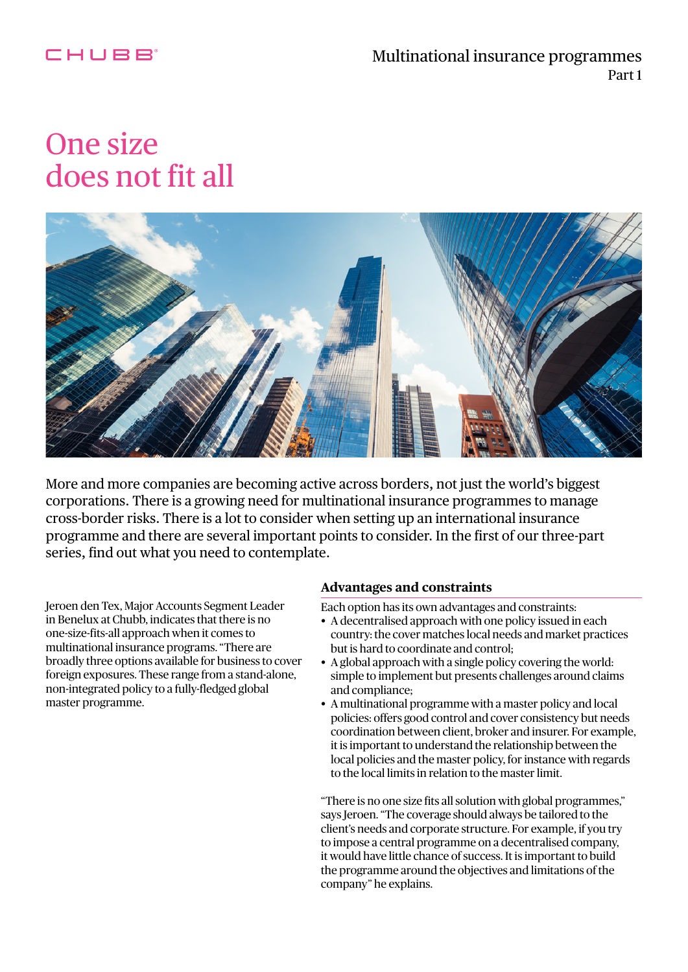## CHUBB

# One size does not fit all



More and more companies are becoming active across borders, not just the world's biggest corporations. There is a growing need for multinational insurance programmes to manage cross-border risks. There is a lot to consider when setting up an international insurance programme and there are several important points to consider. In the first of our three-part series, find out what you need to contemplate.

Jeroen den Tex, Major Accounts Segment Leader in Benelux at Chubb, indicates that there is no one-size-fits-all approach when it comes to multinational insurance programs. "There are broadly three options available for business to cover foreign exposures. These range from a stand-alone, non-integrated policy to a fully-fledged global master programme.

#### **Advantages and constraints**

Each option has its own advantages and constraints:

- A decentralised approach with one policy issued in each country: the cover matches local needs and market practices but is hard to coordinate and control;
- A global approach with a single policy covering the world: simple to implement but presents challenges around claims and compliance;
- A multinational programme with a master policy and local policies: offers good control and cover consistency but needs coordination between client, broker and insurer. For example, it is important to understand the relationship between the local policies and the master policy, for instance with regards to the local limits in relation to the master limit.

"There is no one size fits all solution with global programmes," says Jeroen. "The coverage should always be tailored to the client's needs and corporate structure. For example, if you try to impose a central programme on a decentralised company, it would have little chance of success. It is important to build the programme around the objectives and limitations of the company" he explains.